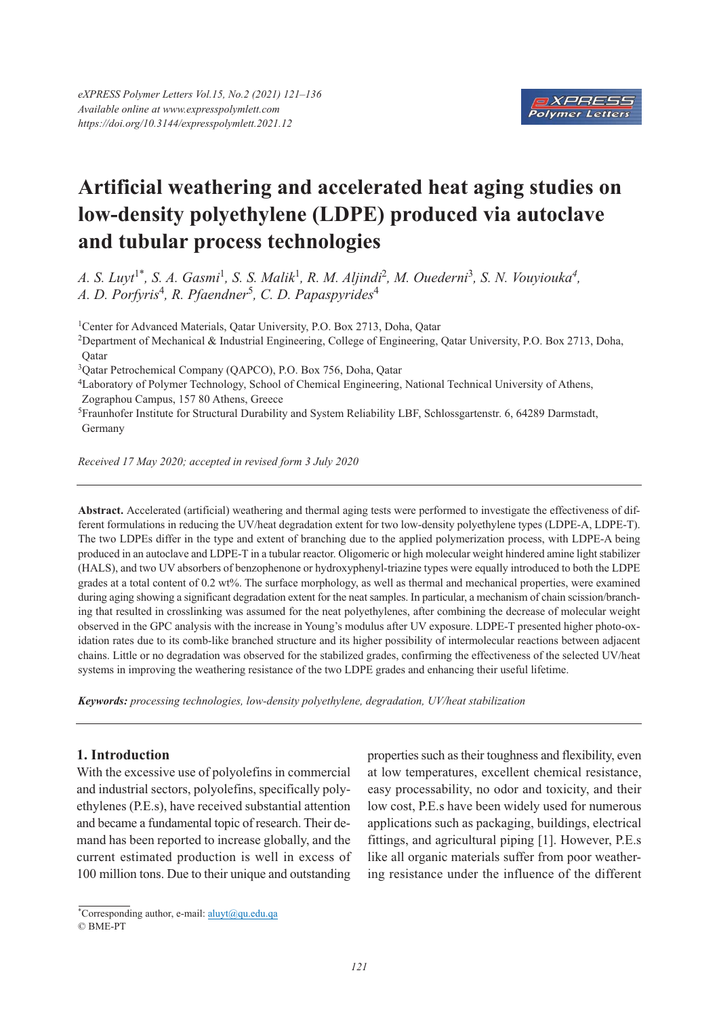

# **Artificial weathering and accelerated heat aging studies on low-density polyethylene (LDPE) produced via autoclave and tubular process technologies**

*A. S. Luyt*1\**, S. A. Gasmi*1*, S. S. Malik*<sup>1</sup> *, R. M. Aljindi*2*, M. Ouederni*<sup>3</sup>*, S. N. Vouyiouka4, A. D. Porfyris*4*, R. Pfaendner*<sup>5</sup> *, C. D. Papaspyrides*<sup>4</sup>

<sup>1</sup>Center for Advanced Materials, Oatar University, P.O. Box 2713, Doha, Oatar

2Department of Mechanical & Industrial Engineering, College of Engineering, Qatar University, P.O. Box 2713, Doha, **O**atar

3Qatar Petrochemical Company (QAPCO), P.O. Box 756, Doha, Qatar

4Laboratory of Polymer Technology, School of Chemical Engineering, National Technical University of Athens, Zographou Campus, 157 80 Athens, Greece

5Fraunhofer Institute for Structural Durability and System Reliability LBF, Schlossgartenstr. 6, 64289 Darmstadt, Germany

*Received 17 May 2020; accepted in revised form 3 July 2020*

**Abstract.** Accelerated (artificial) weathering and thermal aging tests were performed to investigate the effectiveness of different formulations in reducing the UV/heat degradation extent for two low-density polyethylene types (LDPE-A, LDPE-T). The two LDPEs differ in the type and extent of branching due to the applied polymerization process, with LDPE-A being produced in an autoclave and LDPE-T in a tubular reactor. Oligomeric or high molecular weight hindered amine light stabilizer (HALS), and two UV absorbers of benzophenone or hydroxyphenyl-triazine types were equally introduced to both the LDPE grades at a total content of 0.2 wt%. The surface morphology, as well as thermal and mechanical properties, were examined during aging showing a significant degradation extent for the neat samples. In particular, a mechanism of chain scission/branching that resulted in crosslinking was assumed for the neat polyethylenes, after combining the decrease of molecular weight observed in the GPC analysis with the increase in Young's modulus after UV exposure. LDPE-T presented higher photo-oxidation rates due to its comb-like branched structure and its higher possibility of intermolecular reactions between adjacent chains. Little or no degradation was observed for the stabilized grades, confirming the effectiveness of the selected UV/heat systems in improving the weathering resistance of the two LDPE grades and enhancing their useful lifetime.

*Keywords: processing technologies, low-density polyethylene, degradation, UV/heat stabilization*

# **1. Introduction**

With the excessive use of polyolefins in commercial and industrial sectors, polyolefins, specifically polyethylenes (P.E.s), have received substantial attention and became a fundamental topic of research. Their demand has been reported to increase globally, and the current estimated production is well in excess of 100 million tons. Due to their unique and outstanding properties such as their toughness and flexibility, even at low temperatures, excellent chemical resistance, easy processability, no odor and toxicity, and their low cost, P.E.s have been widely used for numerous applications such as packaging, buildings, electrical fittings, and agricultural piping [1]. However, P.E.s like all organic materials suffer from poor weathering resistance under the influence of the different

<sup>\*</sup> Corresponding author, e-mail: aluyt@qu.edu.qa © BME-PT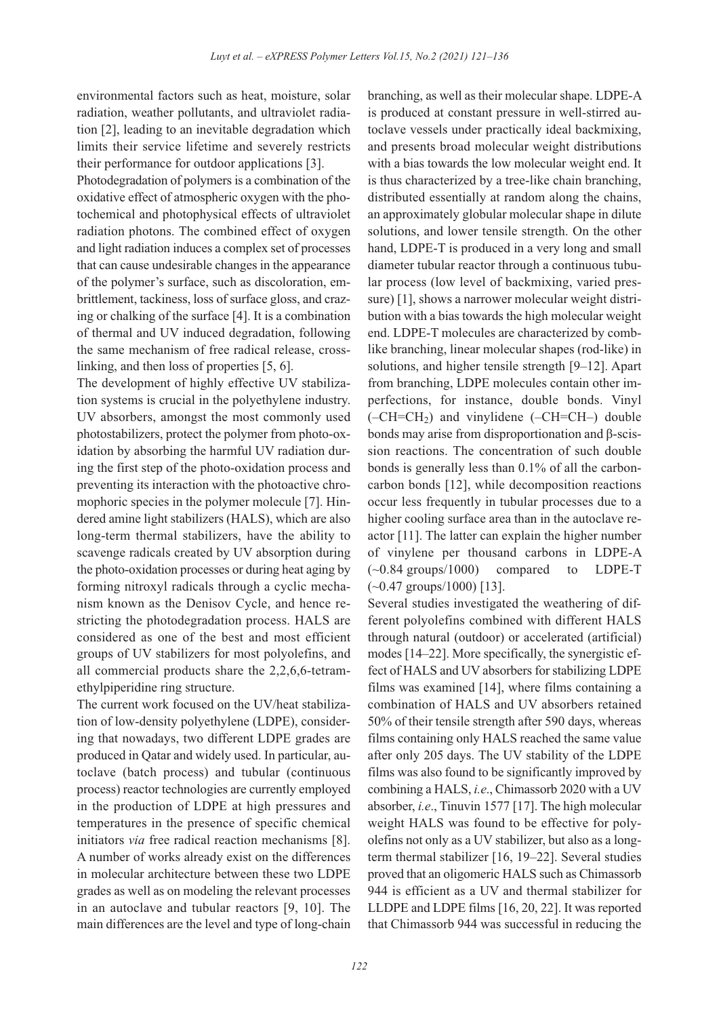environmental factors such as heat, moisture, solar radiation, weather pollutants, and ultraviolet radiation [2], leading to an inevitable degradation which limits their service lifetime and severely restricts their performance for outdoor applications [3].

Photodegradation of polymers is a combination of the oxidative effect of atmospheric oxygen with the photochemical and photophysical effects of ultraviolet radiation photons. The combined effect of oxygen and light radiation induces a complex set of processes that can cause undesirable changes in the appearance of the polymer's surface, such as discoloration, embrittlement, tackiness, loss of surface gloss, and crazing or chalking of the surface [4]. It is a combination of thermal and UV induced degradation, following the same mechanism of free radical release, crosslinking, and then loss of properties [5, 6].

The development of highly effective UV stabilization systems is crucial in the polyethylene industry. UV absorbers, amongst the most commonly used photostabilizers, protect the polymer from photo-oxidation by absorbing the harmful UV radiation during the first step of the photo-oxidation process and preventing its interaction with the photoactive chromophoric species in the polymer molecule [7]. Hindered amine light stabilizers (HALS), which are also long-term thermal stabilizers, have the ability to scavenge radicals created by UV absorption during the photo-oxidation processes or during heat aging by forming nitroxyl radicals through a cyclic mechanism known as the Denisov Cycle, and hence restricting the photodegradation process. HALS are considered as one of the best and most efficient groups of UV stabilizers for most polyolefins, and all commercial products share the 2,2,6,6-tetramethylpiperidine ring structure.

The current work focused on the UV/heat stabilization of low-density polyethylene (LDPE), considering that nowadays, two different LDPE grades are produced in Qatar and widely used. In particular, autoclave (batch process) and tubular (continuous process) reactor technologies are currently employed in the production of LDPE at high pressures and temperatures in the presence of specific chemical initiators *via* free radical reaction mechanisms [8]. A number of works already exist on the differences in molecular architecture between these two LDPE grades as well as on modeling the relevant processes in an autoclave and tubular reactors [9, 10]. The main differences are the level and type of long-chain branching, as well as their molecular shape. LDPE-A is produced at constant pressure in well-stirred autoclave vessels under practically ideal backmixing, and presents broad molecular weight distributions with a bias towards the low molecular weight end. It is thus characterized by a tree-like chain branching, distributed essentially at random along the chains, an approximately globular molecular shape in dilute solutions, and lower tensile strength. On the other hand, LDPE-T is produced in a very long and small diameter tubular reactor through a continuous tubular process (low level of backmixing, varied pressure) [1], shows a narrower molecular weight distribution with a bias towards the high molecular weight end. LDPE-T molecules are characterized by comblike branching, linear molecular shapes (rod-like) in solutions, and higher tensile strength [9–12]. Apart from branching, LDPE molecules contain other imperfections, for instance, double bonds. Vinyl  $(-CH=CH<sub>2</sub>)$  and vinylidene  $(-CH=CH-)$  double bonds may arise from disproportionation and β-scission reactions. The concentration of such double bonds is generally less than 0.1% of all the carboncarbon bonds [12], while decomposition reactions occur less frequently in tubular processes due to a higher cooling surface area than in the autoclave reactor [11]. The latter can explain the higher number of vinylene per thousand carbons in LDPE-A (~0.84 groups/1000) compared to LDPE-T  $(-0.47 \text{ groups}/1000)$  [13].

Several studies investigated the weathering of different polyolefins combined with different HALS through natural (outdoor) or accelerated (artificial) modes [14–22]. More specifically, the synergistic effect of HALS and UV absorbers for stabilizing LDPE films was examined [14], where films containing a combination of HALS and UV absorbers retained 50% of their tensile strength after 590 days, whereas films containing only HALS reached the same value after only 205 days. The UV stability of the LDPE films was also found to be significantly improved by combining a HALS, *i.e*., Chimassorb 2020 with a UV absorber, *i.e*., Tinuvin 1577 [17]. The high molecular weight HALS was found to be effective for polyolefins not only as a UV stabilizer, but also as a longterm thermal stabilizer [16, 19–22]. Several studies proved that an oligomeric HALS such as Chimassorb 944 is efficient as a UV and thermal stabilizer for LLDPE and LDPE films [16, 20, 22]. It was reported that Chimassorb 944 was successful in reducing the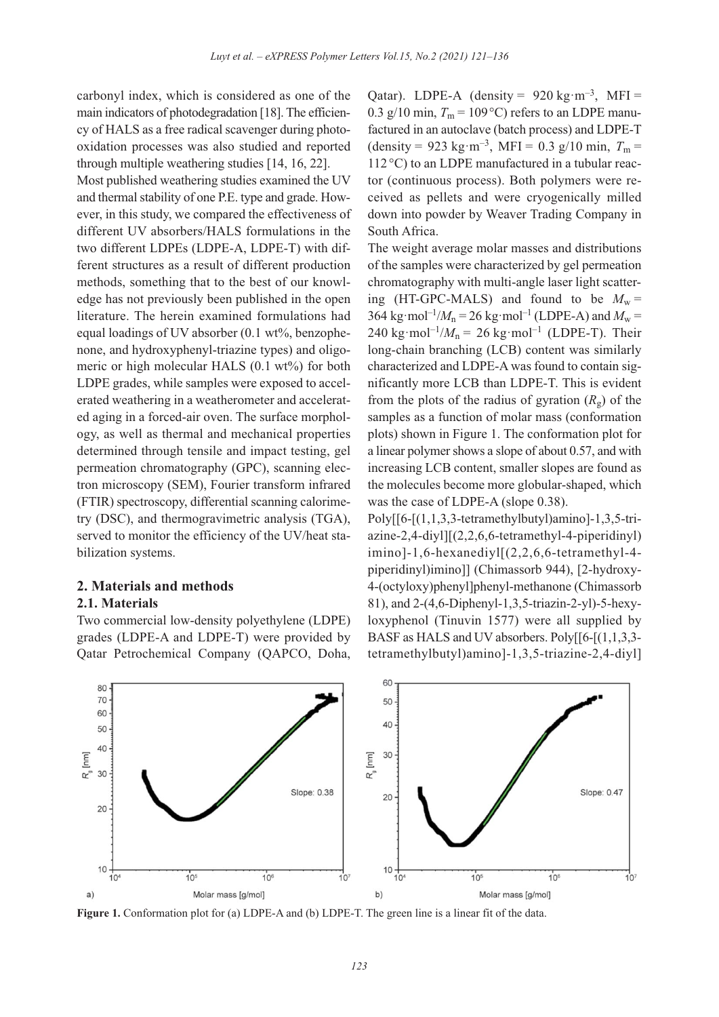carbonyl index, which is considered as one of the main indicators of photodegradation [18]. The efficiency of HALS as a free radical scavenger during photooxidation processes was also studied and reported through multiple weathering studies [14, 16, 22].

Most published weathering studies examined the UV and thermal stability of one P.E. type and grade. However, in this study, we compared the effectiveness of different UV absorbers/HALS formulations in the two different LDPEs (LDPE-A, LDPE-T) with different structures as a result of different production methods, something that to the best of our knowledge has not previously been published in the open literature. The herein examined formulations had equal loadings of UV absorber (0.1 wt%, benzophenone, and hydroxyphenyl-triazine types) and oligomeric or high molecular HALS (0.1 wt%) for both LDPE grades, while samples were exposed to accelerated weathering in a weatherometer and accelerated aging in a forced-air oven. The surface morphology, as well as thermal and mechanical properties determined through tensile and impact testing, gel permeation chromatography (GPC), scanning electron microscopy (SEM), Fourier transform infrared (FTIR) spectroscopy, differential scanning calorimetry (DSC), and thermogravimetric analysis (TGA), served to monitor the efficiency of the UV/heat stabilization systems.

## **2. Materials and methods**

# **2.1. Materials**

Two commercial low-density polyethylene (LDPE) grades (LDPE-A and LDPE-T) were provided by Qatar Petrochemical Company (QAPCO, Doha, Qatar). LDPE-A (density =  $920 \text{ kg} \cdot \text{m}^{-3}$ , MFI = 0.3 g/10 min,  $T_m = 109 \degree C$ ) refers to an LDPE manufactured in an autoclave (batch process) and LDPE-T (density = 923 kg·m<sup>-3</sup>, MFI = 0.3 g/10 min,  $T_m$  = 112 °C) to an LDPE manufactured in a tubular reactor (continuous process). Both polymers were received as pellets and were cryogenically milled down into powder by Weaver Trading Company in South Africa.

The weight average molar masses and distributions of the samples were characterized by gel permeation chromatography with multi-angle laser light scattering (HT-GPC-MALS) and found to be  $M_w =$ 364 kg·mol<sup>-1</sup>/ $M_n$  = 26 kg·mol<sup>-1</sup> (LDPE-A) and  $M_w$  = 240 kg·mol<sup>-1</sup>/ $M<sub>n</sub>$  = 26 kg·mol<sup>-1</sup> (LDPE-T). Their long-chain branching (LCB) content was similarly characterized and LDPE-A was found to contain significantly more LCB than LDPE-T. This is evident from the plots of the radius of gyration  $(R_g)$  of the samples as a function of molar mass (conformation plots) shown in Figure 1. The conformation plot for a linear polymer shows a slope of about 0.57, and with increasing LCB content, smaller slopes are found as the molecules become more globular-shaped, which was the case of LDPE-A (slope 0.38).

Poly[[6-[(1,1,3,3-tetramethylbutyl)amino]-1,3,5-tri $a$ zine-2,4-diyl] $[(2,2,6,6-tetramethyl-4-piperidiny])$ imino]-1,6-hexanediyl[(2,2,6,6-tetramethyl-4 piperidinyl)imino]] (Chimassorb 944), [2-hydroxy-4-(octyloxy)phenyl]phenyl-methanone (Chimassorb 81), and 2-(4,6-Diphenyl-1,3,5-triazin-2-yl)-5-hexyloxyphenol (Tinuvin 1577) were all supplied by BASF as HALS and UV absorbers. Poly[[6-[(1,1,3,3 tetramethylbutyl)amino]-1,3,5-triazine-2,4-diyl]



**Figure 1.** Conformation plot for (a) LDPE-A and (b) LDPE-T. The green line is a linear fit of the data.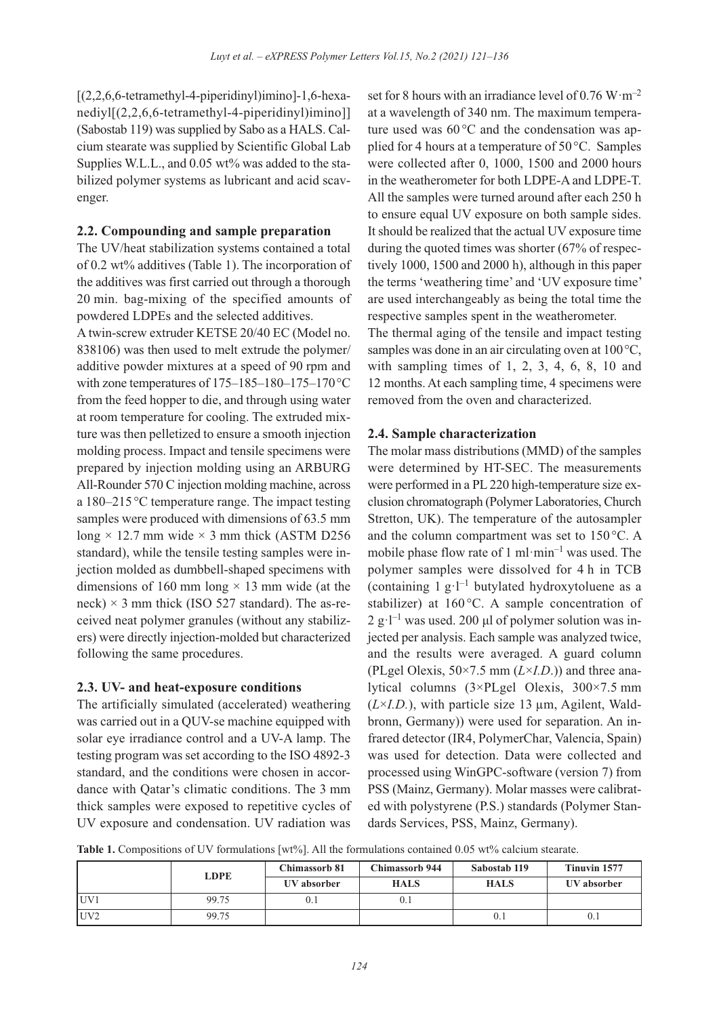[(2,2,6,6-tetramethyl-4-piperidinyl)imino]-1,6-hexanediyl[(2,2,6,6-tetramethyl-4-piperidinyl)imino]] (Sabostab 119) was supplied by Sabo as a HALS. Calcium stearate was supplied by Scientific Global Lab Supplies W.L.L., and 0.05 wt% was added to the stabilized polymer systems as lubricant and acid scavenger.

#### **2.2. Compounding and sample preparation**

The UV/heat stabilization systems contained a total of 0.2 wt% additives (Table 1). The incorporation of the additives was first carried out through a thorough 20 min. bag-mixing of the specified amounts of powdered LDPEs and the selected additives.

A twin-screw extruder KETSE 20/40 EC (Model no. 838106) was then used to melt extrude the polymer/ additive powder mixtures at a speed of 90 rpm and with zone temperatures of 175–185–180–175–170°C from the feed hopper to die, and through using water at room temperature for cooling. The extruded mixture was then pelletized to ensure a smooth injection molding process. Impact and tensile specimens were prepared by injection molding using an ARBURG All-Rounder 570 C injection molding machine, across a 180–215 °C temperature range. The impact testing samples were produced with dimensions of 63.5 mm long  $\times$  12.7 mm wide  $\times$  3 mm thick (ASTM D256) standard), while the tensile testing samples were injection molded as dumbbell-shaped specimens with dimensions of 160 mm long  $\times$  13 mm wide (at the neck)  $\times$  3 mm thick (ISO 527 standard). The as-received neat polymer granules (without any stabilizers) were directly injection-molded but characterized following the same procedures.

## **2.3. UV- and heat-exposure conditions**

The artificially simulated (accelerated) weathering was carried out in a QUV-se machine equipped with solar eye irradiance control and a UV-A lamp. The testing program was set according to the ISO 4892-3 standard, and the conditions were chosen in accordance with Qatar's climatic conditions. The 3 mm thick samples were exposed to repetitive cycles of UV exposure and condensation. UV radiation was

set for 8 hours with an irradiance level of  $0.76 \text{ W} \cdot \text{m}^{-2}$ at a wavelength of 340 nm. The maximum temperature used was  $60^{\circ}$ C and the condensation was applied for 4 hours at a temperature of 50°C. Samples were collected after 0, 1000, 1500 and 2000 hours in the weatherometer for both LDPE-A and LDPE-T. All the samples were turned around after each 250 h to ensure equal UV exposure on both sample sides. It should be realized that the actual UV exposure time during the quoted times was shorter (67% of respectively 1000, 1500 and 2000 h), although in this paper the terms 'weathering time' and 'UV exposure time' are used interchangeably as being the total time the respective samples spent in the weatherometer.

The thermal aging of the tensile and impact testing samples was done in an air circulating oven at 100 °C, with sampling times of 1, 2, 3, 4, 6, 8, 10 and 12 months. At each sampling time, 4 specimens were removed from the oven and characterized.

#### **2.4. Sample characterization**

The molar mass distributions (MMD) of the samples were determined by HT-SEC. The measurements were performed in a PL 220 high-temperature size exclusion chromatograph (Polymer Laboratories, Church Stretton, UK). The temperature of the autosampler and the column compartment was set to 150 °C. A mobile phase flow rate of 1 ml $\cdot$ min<sup>-1</sup> was used. The polymer samples were dissolved for 4 h in TCB (containing  $1 g·l^{-1}$  butylated hydroxytoluene as a stabilizer) at 160 °C. A sample concentration of  $2 \text{ g} \cdot l^{-1}$  was used. 200 μl of polymer solution was injected per analysis. Each sample was analyzed twice, and the results were averaged. A guard column (PLgel Olexis, 50×7.5 mm (*L*×*I.D*.)) and three analytical columns (3×PLgel Olexis, 300×7.5 mm  $(L \times I.D.)$ , with particle size 13  $\mu$ m, Agilent, Waldbronn, Germany)) were used for separation. An infrared detector (IR4, PolymerChar, Valencia, Spain) was used for detection. Data were collected and processed using WinGPC-software (version 7) from PSS (Mainz, Germany). Molar masses were calibrated with polystyrene (P.S.) standards (Polymer Standards Services, PSS, Mainz, Germany).

Table 1. Compositions of UV formulations [wt%]. All the formulations contained 0.05 wt% calcium stearate.

|                 | <b>LDPE</b> | <b>Chimassorb 81</b> | <b>Chimassorb 944</b> | Sabostab 119 | Tinuvin 1577 |
|-----------------|-------------|----------------------|-----------------------|--------------|--------------|
|                 |             | UV absorber          | <b>HALS</b>           | <b>HALS</b>  | UV absorber  |
| UV1             | 99.75       |                      |                       |              |              |
| UV <sub>2</sub> | 99.75       |                      |                       | V. I         | 0. l         |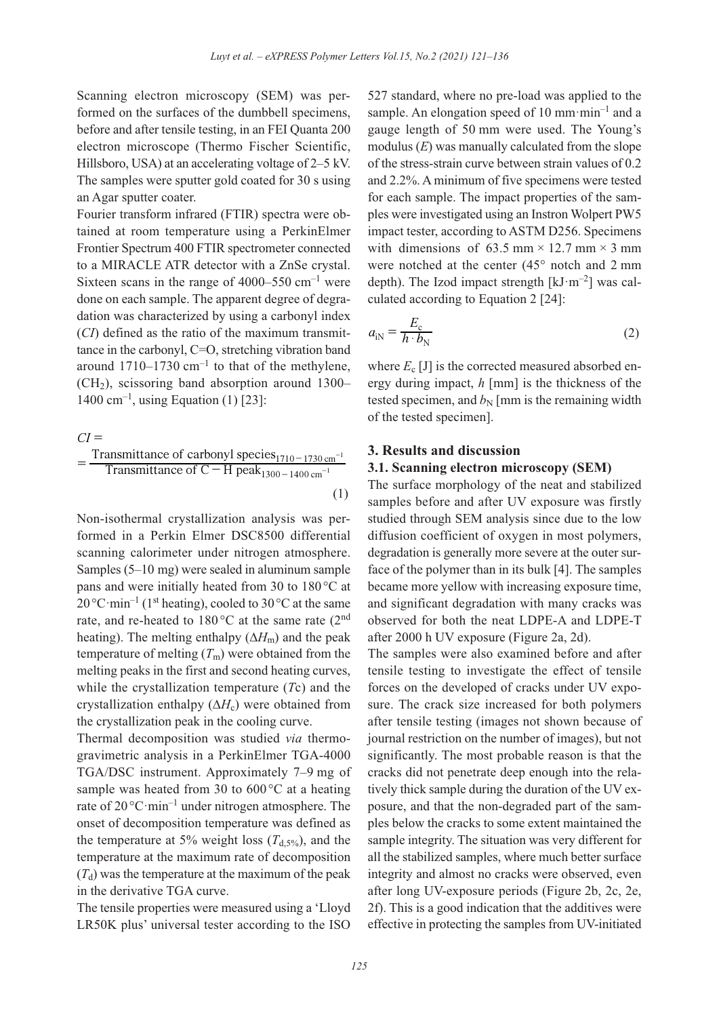Scanning electron microscopy (SEM) was performed on the surfaces of the dumbbell specimens, before and after tensile testing, in an FEI Quanta 200 electron microscope (Thermo Fischer Scientific, Hillsboro, USA) at an accelerating voltage of 2–5 kV. The samples were sputter gold coated for 30 s using an Agar sputter coater.

Fourier transform infrared (FTIR) spectra were obtained at room temperature using a PerkinElmer Frontier Spectrum 400 FTIR spectrometer connected to a MIRACLE ATR detector with a ZnSe crystal. Sixteen scans in the range of  $4000-550$  cm<sup>-1</sup> were done on each sample. The apparent degree of degradation was characterized by using a carbonyl index (*CI*) defined as the ratio of the maximum transmittance in the carbonyl, C=O, stretching vibration band around  $1710-1730$  cm<sup>-1</sup> to that of the methylene,  $(CH<sub>2</sub>)$ , scissoring band absorption around 1300– 1400 cm<sup>-1</sup>, using Equation (1) [23]:

$$
CI =
$$
\n
$$
= \frac{\text{Transmittance of carbonyl species}_{1710-1730 \text{ cm}^{-1}}}{\text{Transmittance of C} - \text{H peak}_{1300-1400 \text{ cm}^{-1}}}
$$
\n(1)

Non-isothermal crystallization analysis was performed in a Perkin Elmer DSC8500 differential scanning calorimeter under nitrogen atmosphere. Samples (5–10 mg) were sealed in aluminum sample pans and were initially heated from 30 to 180 °C at  $20^{\circ}$ C·min<sup>-1</sup> (1<sup>st</sup> heating), cooled to 30 °C at the same rate, and re-heated to  $180^{\circ}$ C at the same rate (2<sup>nd</sup>) heating). The melting enthalpy (∆*H*m) and the peak temperature of melting  $(T<sub>m</sub>)$  were obtained from the melting peaks in the first and second heating curves, while the crystallization temperature (*T*c) and the crystallization enthalpy  $(\Delta H_c)$  were obtained from the crystallization peak in the cooling curve.

Thermal decomposition was studied *via* thermogravimetric analysis in a PerkinElmer TGA-4000 TGA/DSC instrument. Approximately 7–9 mg of sample was heated from 30 to  $600^{\circ}$ C at a heating rate of  $20^{\circ}$ C·min<sup>-1</sup> under nitrogen atmosphere. The onset of decomposition temperature was defined as the temperature at 5% weight loss  $(T_{d.5\%})$ , and the temperature at the maximum rate of decomposition  $(T<sub>d</sub>)$  was the temperature at the maximum of the peak in the derivative TGA curve.

The tensile properties were measured using a 'Lloyd LR50K plus' universal tester according to the ISO 527 standard, where no pre-load was applied to the sample. An elongation speed of 10 mm·min<sup>-1</sup> and a gauge length of 50 mm were used. The Young's modulus (*E*) was manually calculated from the slope of the stress-strain curve between strain values of 0.2 and 2.2%. A minimum of five specimens were tested for each sample. The impact properties of the samples were investigated using an Instron Wolpert PW5 impact tester, according to ASTM D256. Specimens with dimensions of 63.5 mm  $\times$  12.7 mm  $\times$  3 mm were notched at the center (45° notch and 2 mm depth). The Izod impact strength  $[kJ·m<sup>-2</sup>]$  was calculated according to Equation 2 [24]:

$$
a_{\rm in} = \frac{E_{\rm c}}{h \cdot b_{\rm N}}\tag{2}
$$

where  $E_c$  [J] is the corrected measured absorbed energy during impact, *h* [mm] is the thickness of the tested specimen, and  $b_N$  [mm is the remaining width of the tested specimen].

#### **3. Results and discussion**

#### **3.1. Scanning electron microscopy (SEM)**

The surface morphology of the neat and stabilized samples before and after UV exposure was firstly studied through SEM analysis since due to the low diffusion coefficient of oxygen in most polymers, degradation is generally more severe at the outer surface of the polymer than in its bulk [4]. The samples became more yellow with increasing exposure time, and significant degradation with many cracks was observed for both the neat LDPE-A and LDPE-T after 2000 h UV exposure (Figure 2a, 2d).

The samples were also examined before and after tensile testing to investigate the effect of tensile forces on the developed of cracks under UV exposure. The crack size increased for both polymers after tensile testing (images not shown because of journal restriction on the number of images), but not significantly. The most probable reason is that the cracks did not penetrate deep enough into the relatively thick sample during the duration of the UV exposure, and that the non-degraded part of the samples below the cracks to some extent maintained the sample integrity. The situation was very different for all the stabilized samples, where much better surface integrity and almost no cracks were observed, even after long UV-exposure periods (Figure 2b, 2c, 2e, 2f). This is a good indication that the additives were effective in protecting the samples from UV-initiated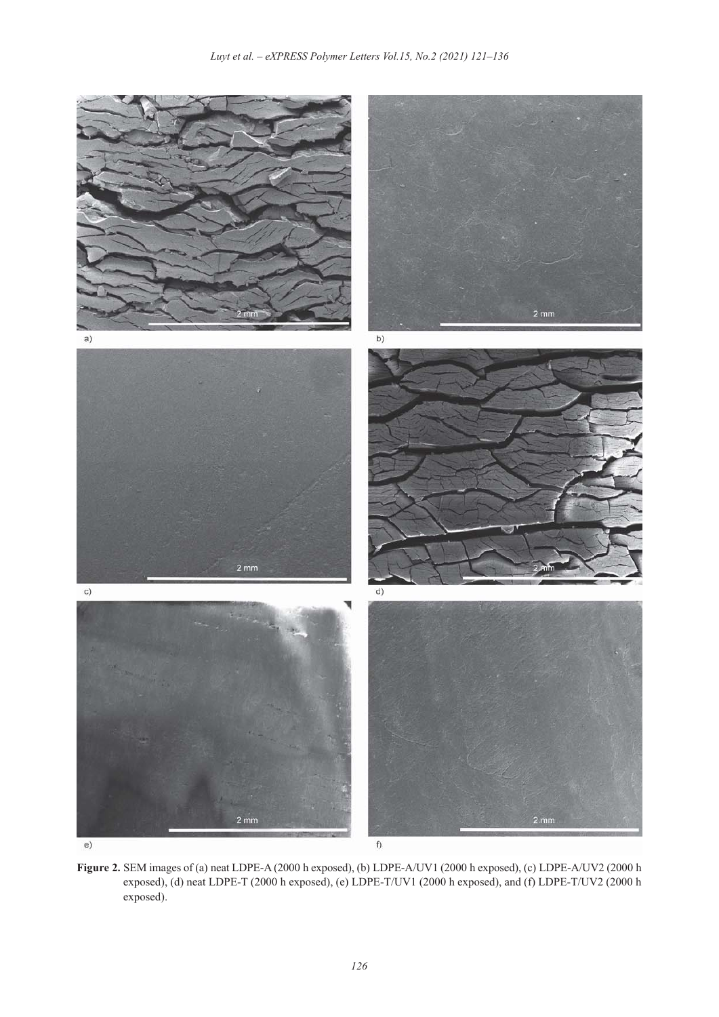

**Figure 2.** SEM images of (a) neat LDPE-A (2000 h exposed), (b) LDPE-A/UV1 (2000 h exposed), (c) LDPE-A/UV2 (2000 h exposed), (d) neat LDPE-T (2000 h exposed), (e) LDPE-T/UV1 (2000 h exposed), and (f) LDPE-T/UV2 (2000 h exposed).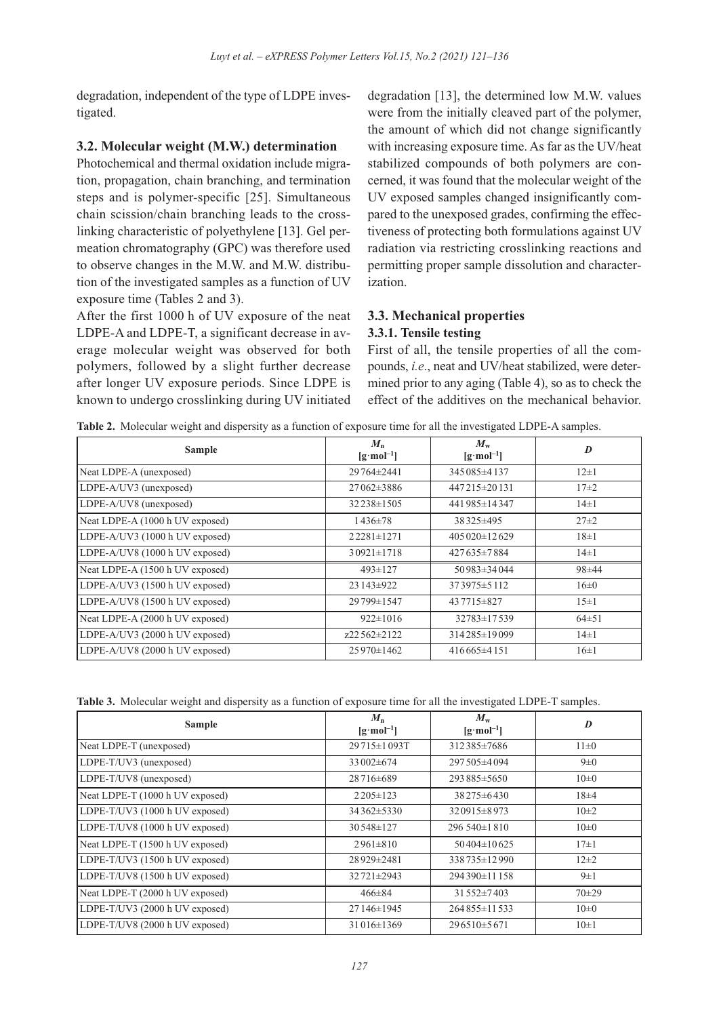degradation, independent of the type of LDPE investigated.

#### **3.2. Molecular weight (M.W.) determination**

Photochemical and thermal oxidation include migration, propagation, chain branching, and termination steps and is polymer-specific [25]. Simultaneous chain scission/chain branching leads to the crosslinking characteristic of polyethylene [13]. Gel permeation chromatography (GPC) was therefore used to observe changes in the M.W. and M.W. distribution of the investigated samples as a function of UV exposure time (Tables 2 and 3).

After the first 1000 h of UV exposure of the neat LDPE-A and LDPE-T, a significant decrease in average molecular weight was observed for both polymers, followed by a slight further decrease after longer UV exposure periods. Since LDPE is known to undergo crosslinking during UV initiated degradation [13], the determined low M.W. values were from the initially cleaved part of the polymer, the amount of which did not change significantly with increasing exposure time. As far as the UV/heat stabilized compounds of both polymers are concerned, it was found that the molecular weight of the UV exposed samples changed insignificantly compared to the unexposed grades, confirming the effectiveness of protecting both formulations against UV radiation via restricting crosslinking reactions and permitting proper sample dissolution and characterization.

# **3.3. Mechanical properties**

## **3.3.1. Tensile testing**

First of all, the tensile properties of all the compounds, *i.e*., neat and UV/heat stabilized, were determined prior to any aging (Table 4), so as to check the effect of the additives on the mechanical behavior.

**Table 2.** Molecular weight and dispersity as a function of exposure time for all the investigated LDPE-A samples.

| <b>Sample</b>                   | $M_{\rm n}$<br>$\left[\mathbf{g}\cdot\mathbf{mol}^{-1}\right]$ | $M_{\rm w}$<br>$\left[\mathbf{g}\cdot\mathbf{mol}^{-1}\right]$ | D           |
|---------------------------------|----------------------------------------------------------------|----------------------------------------------------------------|-------------|
| Neat LDPE-A (unexposed)         | 29764±2441                                                     | 345085±4137                                                    | $12\pm1$    |
| LDPE-A/UV3 (unexposed)          | $27062\pm3886$                                                 | 447215±20131                                                   | $17\pm 2$   |
| LDPE-A/UV8 (unexposed)          | 32238±1505                                                     | 441985±14347                                                   | $14\pm1$    |
| Neat LDPE-A (1000 h UV exposed) | $1436 \pm 78$                                                  | 38325±495                                                      | $27 \pm 2$  |
| LDPE-A/UV3 (1000 h UV exposed)  | $22281 \pm 1271$                                               | $405020\pm12629$                                               | $18 \pm 1$  |
| LDPE-A/UV8 (1000 h UV exposed)  | $30921 \pm 1718$                                               | $427635\pm7884$                                                | $14\pm1$    |
| Neat LDPE-A (1500 h UV exposed) | $493 \pm 127$                                                  | $50983 \pm 34044$                                              | $98 + 44$   |
| LDPE-A/UV3 (1500 h UV exposed)  | $23143 \pm 922$                                                | $373975 \pm 5112$                                              | 16±0        |
| LDPE-A/UV8 (1500 h UV exposed)  | 29799±1547                                                     | 437715 + 827                                                   | $15\pm1$    |
| Neat LDPE-A (2000 h UV exposed) | $922 \pm 1016$                                                 | 32783±17539                                                    | $64 \pm 51$ |
| LDPE-A/UV3 (2000 h UV exposed)  | z22562±2122                                                    | 314285±19099                                                   | $14\pm1$    |
| LDPE-A/UV8 (2000 h UV exposed)  | 25970±1462                                                     | $416665\pm4151$                                                | $16 \pm 1$  |

**Table 3.** Molecular weight and dispersity as a function of exposure time for all the investigated LDPE-T samples.

| <b>Sample</b>                   | $M_{\rm n}$<br>$\left[\mathbf{g}\cdot\mathbf{mol}^{-1}\right]$ | $M_{\rm w}$<br>$\left[\mathbf{g}\cdot\mathbf{mol}^{-1}\right]$ | D         |
|---------------------------------|----------------------------------------------------------------|----------------------------------------------------------------|-----------|
| Neat LDPE-T (unexposed)         | 29715±1093T                                                    | 312385±7686                                                    | $11\pm0$  |
| LDPE-T/UV3 (unexposed)          | 33002±674                                                      | 297505 ± 4094                                                  | $9\pm 0$  |
| LDPE-T/UV8 (unexposed)          | 28716±689                                                      | 293885±5650                                                    | $10\pm 0$ |
| Neat LDPE-T (1000 h UV exposed) | $2205 \pm 123$                                                 | $38275\pm6430$                                                 | $18 + 4$  |
| LDPE-T/UV3 (1000 h UV exposed)  | 34362±5330                                                     | $320915\pm8973$                                                | $10\pm 2$ |
| LDPE-T/UV8 (1000 h UV exposed)  | 30548±127                                                      | $296540 \pm 1810$                                              | $10\pm 0$ |
| Neat LDPE-T (1500 h UV exposed) | $2961 \pm 810$                                                 | $50404\pm10625$                                                | $17\pm1$  |
| LDPE-T/UV3 (1500 h UV exposed)  | 28929±2481                                                     | 338735±12990                                                   | $12\pm 2$ |
| LDPE-T/UV8 (1500 h UV exposed)  | $32721 \pm 2943$                                               | 294390±11158                                                   | $9\pm1$   |
| Neat LDPE-T (2000 h UV exposed) | $466 \pm 84$                                                   | 31552±7403                                                     | $70 + 29$ |
| LDPE-T/UV3 (2000 h UV exposed)  | 27146±1945                                                     | $264855 \pm 11533$                                             | $10\pm 0$ |
| LDPE-T/UV8 (2000 h UV exposed)  | $31016\pm1369$                                                 | $296510\pm5671$                                                | $10\pm1$  |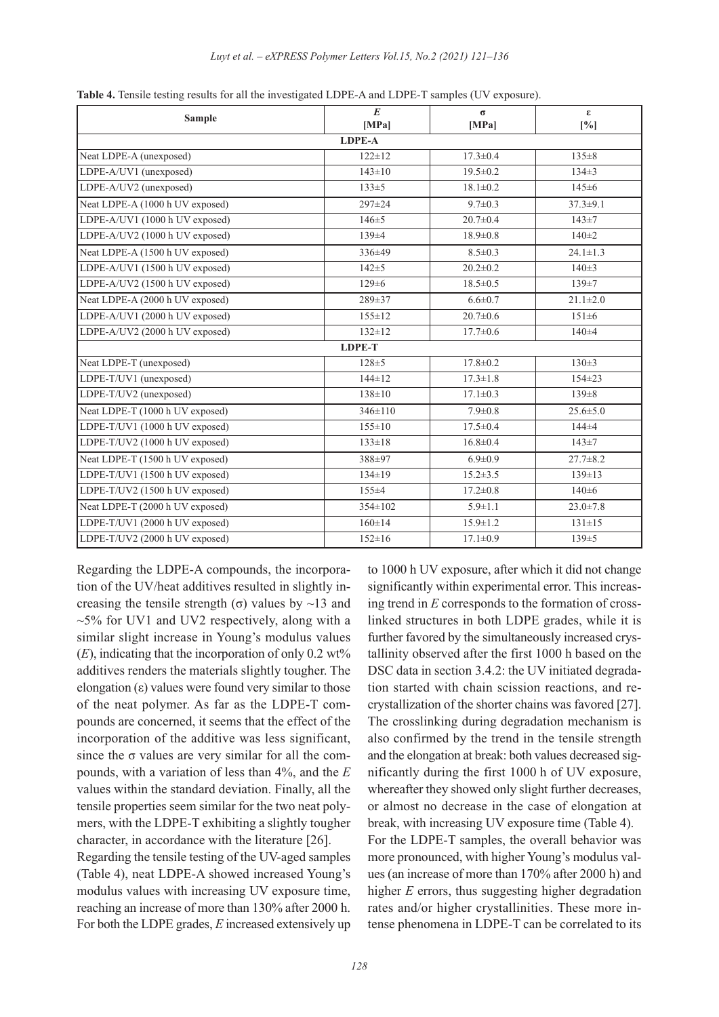| <b>Sample</b>                   | E<br>[MPa]    | $\sigma$<br>[MPa] | $\epsilon$<br>[%] |
|---------------------------------|---------------|-------------------|-------------------|
|                                 | <b>LDPE-A</b> |                   |                   |
| Neat LDPE-A (unexposed)         | $122 \pm 12$  | $17.3 \pm 0.4$    | $135 \pm 8$       |
| LDPE-A/UV1 (unexposed)          | $143 \pm 10$  | $19.5 \pm 0.2$    | $134 \pm 3$       |
| LDPE-A/UV2 (unexposed)          | $133 \pm 5$   | $18.1 \pm 0.2$    | 145±6             |
| Neat LDPE-A (1000 h UV exposed) | 297±24        | $9.7 \pm 0.3$     | $37.3 \pm 9.1$    |
| LDPE-A/UV1 (1000 h UV exposed)  | $146 + 5$     | $20.7 \pm 0.4$    | $143 + 7$         |
| LDPE-A/UV2 (1000 h UV exposed)  | 139±4         | $18.9 \pm 0.8$    | $140 \pm 2$       |
| Neat LDPE-A (1500 h UV exposed) | 336±49        | $8.5 \pm 0.3$     | $24.1 \pm 1.3$    |
| LDPE-A/UV1 (1500 h UV exposed)  | $142 + 5$     | $20.2 \pm 0.2$    | $140 \pm 3$       |
| LDPE-A/UV2 (1500 h UV exposed)  | $129 \pm 6$   | $18.5 \pm 0.5$    | 139±7             |
| Neat LDPE-A (2000 h UV exposed) | 289±37        | $6.6 \pm 0.7$     | $21.1 \pm 2.0$    |
| LDPE-A/UV1 (2000 h UV exposed)  | $155 \pm 12$  | $20.7 \pm 0.6$    | $151 \pm 6$       |
| LDPE-A/UV2 (2000 h UV exposed)  | $132 \pm 12$  | $17.7 \pm 0.6$    | $140 + 4$         |
|                                 | <b>LDPE-T</b> |                   |                   |
| Neat LDPE-T (unexposed)         | $128 + 5$     | $17.8 \pm 0.2$    | $130 \pm 3$       |
| LDPE-T/UV1 (unexposed)          | $144 \pm 12$  | $17.3 \pm 1.8$    | $154 \pm 23$      |
| LDPE-T/UV2 (unexposed)          | $138 \pm 10$  | $17.1 \pm 0.3$    | $139 \pm 8$       |
| Neat LDPE-T (1000 h UV exposed) | 346±110       | $7.9 \pm 0.8$     | $25.6 \pm 5.0$    |
| LDPE-T/UV1 (1000 h UV exposed)  | $155 \pm 10$  | $17.5 \pm 0.4$    | 144±4             |
| LDPE-T/UV2 (1000 h UV exposed)  | $133 \pm 18$  | $16.8 \pm 0.4$    | $143 + 7$         |
| Neat LDPE-T (1500 h UV exposed) | 388±97        | $6.9 \pm 0.9$     | $27.7 \pm 8.2$    |
| LDPE-T/UV1 (1500 h UV exposed)  | $134 \pm 19$  | $15.2 \pm 3.5$    | $139 \pm 13$      |
| LDPE-T/UV2 (1500 h UV exposed)  | 155±4         | $17.2 \pm 0.8$    | 140±6             |
| Neat LDPE-T (2000 h UV exposed) | 354±102       | $5.9 \pm 1.1$     | $23.0 \pm 7.8$    |
| LDPE-T/UV1 (2000 h UV exposed)  | $160 \pm 14$  | $15.9 \pm 1.2$    | $131 \pm 15$      |
| LDPE-T/UV2 (2000 h UV exposed)  | $152 \pm 16$  | $17.1 \pm 0.9$    | 139±5             |

**Table 4.** Tensile testing results for all the investigated LDPE-A and LDPE-T samples (UV exposure).

Regarding the LDPE-A compounds, the incorporation of the UV/heat additives resulted in slightly increasing the tensile strength (σ) values by  $\sim$ 13 and  $~5\%$  for UV1 and UV2 respectively, along with a similar slight increase in Young's modulus values  $(E)$ , indicating that the incorporation of only 0.2 wt% additives renders the materials slightly tougher. The elongation  $(\epsilon)$  values were found very similar to those of the neat polymer. As far as the LDPE-T compounds are concerned, it seems that the effect of the incorporation of the additive was less significant, since the  $\sigma$  values are very similar for all the compounds, with a variation of less than 4%, and the *E* values within the standard deviation. Finally, all the tensile properties seem similar for the two neat polymers, with the LDPE-T exhibiting a slightly tougher character, in accordance with the literature [26]. Regarding the tensile testing of the UV-aged samples (Table 4), neat LDPE-A showed increased Young's modulus values with increasing UV exposure time, reaching an increase of more than 130% after 2000 h.

For both the LDPE grades, *E* increased extensively up

to 1000 h UV exposure, after which it did not change significantly within experimental error. This increasing trend in *E* corresponds to the formation of crosslinked structures in both LDPE grades, while it is further favored by the simultaneously increased crystallinity observed after the first 1000 h based on the DSC data in section 3.4.2: the UV initiated degradation started with chain scission reactions, and recrystallization of the shorter chains was favored [27]. The crosslinking during degradation mechanism is also confirmed by the trend in the tensile strength and the elongation at break: both values decreased significantly during the first 1000 h of UV exposure, whereafter they showed only slight further decreases, or almost no decrease in the case of elongation at break, with increasing UV exposure time (Table 4). For the LDPE-T samples, the overall behavior was more pronounced, with higher Young's modulus values (an increase of more than 170% after 2000 h) and higher *E* errors, thus suggesting higher degradation rates and/or higher crystallinities. These more intense phenomena in LDPE-T can be correlated to its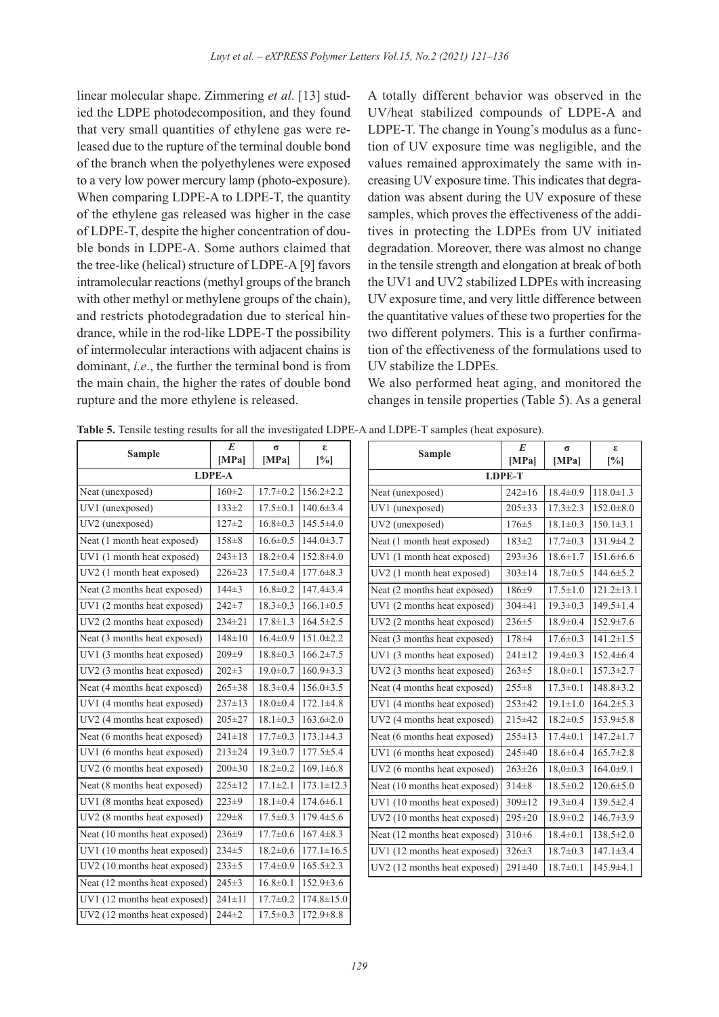linear molecular shape. Zimmering *et al*. [13] studied the LDPE photodecomposition, and they found that very small quantities of ethylene gas were released due to the rupture of the terminal double bond of the branch when the polyethylenes were exposed to a very low power mercury lamp (photo-exposure). When comparing LDPE-A to LDPE-T, the quantity of the ethylene gas released was higher in the case of LDPE-T, despite the higher concentration of double bonds in LDPE-A. Some authors claimed that the tree-like (helical) structure of LDPE-A [9] favors intramolecular reactions (methyl groups of the branch with other methyl or methylene groups of the chain), and restricts photodegradation due to sterical hindrance, while in the rod-like LDPE-T the possibility of intermolecular interactions with adjacent chains is dominant, *i.e*., the further the terminal bond is from the main chain, the higher the rates of double bond rupture and the more ethylene is released.

A totally different behavior was observed in the UV/heat stabilized compounds of LDPE-A and LDPE-T. The change in Young's modulus as a function of UV exposure time was negligible, and the values remained approximately the same with increasing UV exposure time. This indicates that degradation was absent during the UV exposure of these samples, which proves the effectiveness of the additives in protecting the LDPEs from UV initiated degradation. Moreover, there was almost no change in the tensile strength and elongation at break of both the UV1 and UV2 stabilized LDPEs with increasing UV exposure time, and very little difference between the quantitative values of these two properties for the two different polymers. This is a further confirmation of the effectiveness of the formulations used to UV stabilize the LDPEs.

We also performed heat aging, and monitored the changes in tensile properties (Table 5). As a general

| Table 5. Tensile testing results for all the investigated LDPE-A and LDPE-T samples (heat exposure). |  |  |
|------------------------------------------------------------------------------------------------------|--|--|
|------------------------------------------------------------------------------------------------------|--|--|

| <b>Sample</b>                 | E<br>[MPa]    | $\sigma$<br>[MPa] | ε<br>$[\%]$      | <b>Sample</b>                 | E<br>[MPa]    | $\sigma$<br>[MPa] | ε<br>[%]         |
|-------------------------------|---------------|-------------------|------------------|-------------------------------|---------------|-------------------|------------------|
|                               | <b>LDPE-A</b> |                   |                  |                               | <b>LDPE-T</b> |                   |                  |
| Neat (unexposed)              | $160 \pm 2$   | $17.7 \pm 0.2$    | $156.2 \pm 2.2$  | Neat (unexposed)              | $242 \pm 16$  | $18.4 \pm 0.9$    | $118.0 \pm 1.3$  |
| UV1 (unexposed)               | $133 \pm 2$   | $17.5 \pm 0.1$    | $140.6 \pm 3.4$  | UV1 (unexposed)               | $205 \pm 33$  | $17.3 \pm 2.3$    | $152.0 \pm 8.0$  |
| UV2 (unexposed)               | $127 + 2$     | $16.8 \pm 0.3$    | $145.5 \pm 4.0$  | UV2 (unexposed)               | $176 + 5$     | $18.1 \pm 0.3$    | $150.1 \pm 3.1$  |
| Neat (1 month heat exposed)   | $158 + 8$     | $16.6 \pm 0.5$    | $144.0 \pm 3.7$  | Neat (1 month heat exposed)   | $183 + 2$     | $17.7 \pm 0.3$    | $131.9 \pm 4.2$  |
| UV1 (1 month heat exposed)    | $243 \pm 13$  | $18.2 \pm 0.4$    | $152.8 \pm 4.0$  | UV1 (1 month heat exposed)    | 293±36        | $18.6 \pm 1.7$    | $151.6 \pm 6.6$  |
| UV2 (1 month heat exposed)    | 226±23        | $17.5 \pm 0.4$    | $177.6 \pm 8.3$  | UV2 (1 month heat exposed)    | $303 \pm 14$  | $18.7 \pm 0.5$    | $144.6 \pm 5.2$  |
| Neat (2 months heat exposed)  | $144\pm3$     | $16.8 \pm 0.2$    | $147.4 \pm 3.4$  | Neat (2 months heat exposed)  | 186±9         | $17.5 \pm 1.0$    | $121.2 \pm 13.1$ |
| UV1 (2 months heat exposed)   | $242 + 7$     | $18.3 \pm 0.3$    | $166.1 \pm 0.5$  | UV1 (2 months heat exposed)   | 304±41        | $19.3 \pm 0.3$    | $149.5 \pm 1.4$  |
| UV2 (2 months heat exposed)   | $234 \pm 21$  | $17.8 \pm 1.3$    | $164.5 \pm 2.5$  | UV2 (2 months heat exposed)   | $236 + 5$     | $18.9 \pm 0.4$    | $152.9 \pm 7.6$  |
| Neat (3 months heat exposed)  | $148 \pm 10$  | $16.4 \pm 0.9$    | $151.0 \pm 2.2$  | Neat (3 months heat exposed)  | 178±4         | $17.6 \pm 0.3$    | $141.2 \pm 1.5$  |
| UV1 (3 months heat exposed)   | $209 \pm 9$   | $18.8 \pm 0.3$    | $166.2 \pm 7.5$  | UV1 (3 months heat exposed)   | $241 \pm 12$  | $19.4 \pm 0.3$    | $152.4 \pm 6.4$  |
| UV2 (3 months heat exposed)   | $202 \pm 3$   | $19.0 \pm 0.7$    | $160.9 \pm 3.3$  | UV2 (3 months heat exposed)   | $263 \pm 5$   | $18.0 \pm 0.1$    | $157.3 \pm 2.7$  |
| Neat (4 months heat exposed)  | $265 \pm 38$  | $18.3 \pm 0.4$    | $156.0 \pm 3.5$  | Neat (4 months heat exposed)  | $255 \pm 8$   | $17.3 \pm 0.1$    | $148.8 \pm 3.2$  |
| UV1 (4 months heat exposed)   | $237 \pm 13$  | $18.0 \pm 0.4$    | $172.1 \pm 4.8$  | UV1 (4 months heat exposed)   | 253±42        | $19.1 \pm 1.0$    | $164.2 \pm 5.3$  |
| UV2 (4 months heat exposed)   | $205 \pm 27$  | $18.1 \pm 0.3$    | $163.6 \pm 2.0$  | UV2 (4 months heat exposed)   | 215±42        | $18.2 \pm 0.5$    | $153.9 \pm 5.8$  |
| Neat (6 months heat exposed)  | $241 \pm 18$  | $17.7 \pm 0.3$    | $173.1 \pm 4.3$  | Neat (6 months heat exposed)  | $255 \pm 13$  | $17.4 \pm 0.1$    | $147.2 \pm 1.7$  |
| UV1 (6 months heat exposed)   | $213 \pm 24$  | $19.3 \pm 0.7$    | $177.5 \pm 5.4$  | UV1 (6 months heat exposed)   | 245±40        | $18.6 \pm 0.4$    | $165.7 \pm 2.8$  |
| UV2 (6 months heat exposed)   | $200 \pm 30$  | $18.2 \pm 0.2$    | $169.1 \pm 6.8$  | UV2 (6 months heat exposed)   | $263 \pm 26$  | $18,0{\pm}0.3$    | $164.0 \pm 9.1$  |
| Neat (8 months heat exposed)  | $225 \pm 12$  | $17.1 \pm 2.1$    | $173.1 \pm 12.3$ | Neat (10 months heat exposed) | $314 \pm 8$   | $18.5 \pm 0.2$    | $120.6 \pm 5.0$  |
| UV1 (8 months heat exposed)   | $223 + 9$     | $18.1 \pm 0.4$    | $174.6 \pm 6.1$  | UV1 (10 months heat exposed)  | $309 \pm 12$  | $19.3 \pm 0.4$    | $139.5 \pm 2.4$  |
| UV2 (8 months heat exposed)   | 229±8         | $17.5 \pm 0.3$    | $179.4 \pm 5.6$  | UV2 (10 months heat exposed)  | $295 \pm 20$  | $18.9 \pm 0.2$    | $146.7 \pm 3.9$  |
| Neat (10 months heat exposed) | $236 + 9$     | $17.7 \pm 0.6$    | $167.4 \pm 8.3$  | Neat (12 months heat exposed) | 310±6         | $18.4 \pm 0.1$    | $138.5 \pm 2.0$  |
| UV1 (10 months heat exposed)  | $234 \pm 5$   | $18.2 \pm 0.6$    | $177.1 \pm 16.5$ | UV1 (12 months heat exposed)  | $326 \pm 3$   | $18.7 \pm 0.3$    | $147.1 \pm 3.4$  |
| UV2 (10 months heat exposed)  | $233 \pm 5$   | $17.4 \pm 0.9$    | $165.5 \pm 2.3$  | UV2 (12 months heat exposed)  | 291±40        | $18.7 \pm 0.1$    | 145.9±4.1        |
| Neat (12 months heat exposed) | $245 \pm 3$   | $16.8 \pm 0.1$    | 152.9±3.6        |                               |               |                   |                  |
| UV1 (12 months heat exposed)  | $241 \pm 11$  | $17.7 \pm 0.2$    | $174.8 \pm 15.0$ |                               |               |                   |                  |
| UV2 (12 months heat exposed)  | $244 + 2$     | $17.5 \pm 0.3$    | $172.9 \pm 8.8$  |                               |               |                   |                  |
|                               |               |                   |                  |                               |               |                   |                  |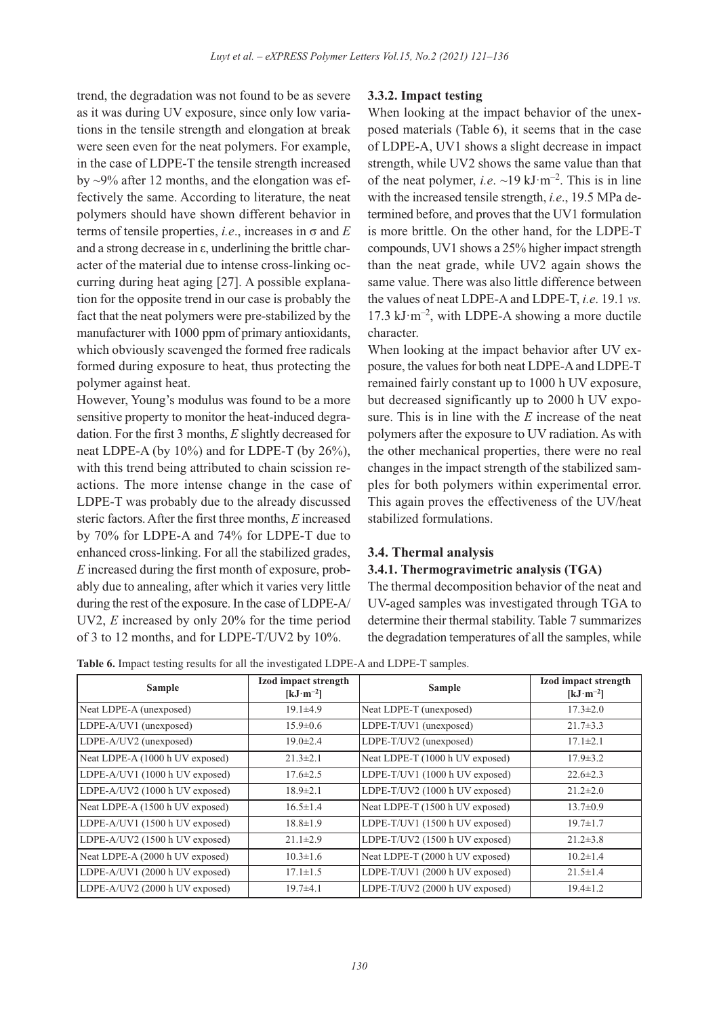trend, the degradation was not found to be as severe as it was during UV exposure, since only low variations in the tensile strength and elongation at break were seen even for the neat polymers. For example, in the case of LDPE-T the tensile strength increased by ~9% after 12 months, and the elongation was effectively the same. According to literature, the neat polymers should have shown different behavior in terms of tensile properties, *i.e*., increases in σ and *E* and a strong decrease in ε, underlining the brittle character of the material due to intense cross-linking occurring during heat aging [27]. A possible explanation for the opposite trend in our case is probably the fact that the neat polymers were pre-stabilized by the manufacturer with 1000 ppm of primary antioxidants, which obviously scavenged the formed free radicals formed during exposure to heat, thus protecting the polymer against heat.

However, Young's modulus was found to be a more sensitive property to monitor the heat-induced degradation. For the first 3 months, *E* slightly decreased for neat LDPE-A (by 10%) and for LDPE-T (by 26%), with this trend being attributed to chain scission reactions. The more intense change in the case of LDPE-T was probably due to the already discussed steric factors. After the first three months, *E* increased by 70% for LDPE-A and 74% for LDPE-T due to enhanced cross-linking. For all the stabilized grades, *E* increased during the first month of exposure, probably due to annealing, after which it varies very little during the rest of the exposure. In the case of LDPE-A/ UV2, *E* increased by only 20% for the time period of 3 to 12 months, and for LDPE-T/UV2 by 10%.

## **3.3.2. Impact testing**

When looking at the impact behavior of the unexposed materials (Table 6), it seems that in the case of LDPE-A, UV1 shows a slight decrease in impact strength, while UV2 shows the same value than that of the neat polymer, *i.e.*  $\sim$ 19 kJ·m<sup>-2</sup>. This is in line with the increased tensile strength, *i.e*., 19.5 MPa determined before, and proves that the UV1 formulation is more brittle. On the other hand, for the LDPE-T compounds, UV1 shows a 25% higher impact strength than the neat grade, while UV2 again shows the same value. There was also little difference between the values of neat LDPE-A and LDPE-T, *i.e*. 19.1 *vs.*  $17.3 \text{ kJ·m}^{-2}$ , with LDPE-A showing a more ductile character.

When looking at the impact behavior after UV exposure, the values for both neat LDPE-A and LDPE-T remained fairly constant up to 1000 h UV exposure, but decreased significantly up to 2000 h UV exposure. This is in line with the *E* increase of the neat polymers after the exposure to UV radiation. As with the other mechanical properties, there were no real changes in the impact strength of the stabilized samples for both polymers within experimental error. This again proves the effectiveness of the UV/heat stabilized formulations.

# **3.4. Thermal analysis**

#### **3.4.1. Thermogravimetric analysis (TGA)**

The thermal decomposition behavior of the neat and UV-aged samples was investigated through TGA to determine their thermal stability. Table 7 summarizes the degradation temperatures of all the samples, while

**Table 6.** Impact testing results for all the investigated LDPE-A and LDPE-T samples.

| Sample                          | Izod impact strength<br>$[kJ·m-2]$ | <b>Sample</b>                   | Izod impact strength<br>$\left[\mathrm{kJ}\cdot\mathrm{m}^{-2}\right]$ |
|---------------------------------|------------------------------------|---------------------------------|------------------------------------------------------------------------|
| Neat LDPE-A (unexposed)         | $19.1 \pm 4.9$                     | Neat LDPE-T (unexposed)         | $17.3 \pm 2.0$                                                         |
| LDPE-A/UV1 (unexposed)          | $15.9 \pm 0.6$                     | LDPE-T/UV1 (unexposed)          | $21.7 \pm 3.3$                                                         |
| LDPE-A/UV2 (unexposed)          | $19.0 \pm 2.4$                     | LDPE-T/UV2 (unexposed)          | $17.1 \pm 2.1$                                                         |
| Neat LDPE-A (1000 h UV exposed) | $21.3 \pm 2.1$                     | Neat LDPE-T (1000 h UV exposed) | $17.9 \pm 3.2$                                                         |
| LDPE-A/UV1 (1000 h UV exposed)  | $17.6 \pm 2.5$                     | LDPE-T/UV1 (1000 h UV exposed)  | $22.6 \pm 2.3$                                                         |
| LDPE-A/UV2 (1000 h UV exposed)  | $18.9 \pm 2.1$                     | LDPE-T/UV2 (1000 h UV exposed)  | $21.2 \pm 2.0$                                                         |
| Neat LDPE-A (1500 h UV exposed) | $16.5 \pm 1.4$                     | Neat LDPE-T (1500 h UV exposed) | $13.7 \pm 0.9$                                                         |
| LDPE-A/UV1 (1500 h UV exposed)  | $18.8 \pm 1.9$                     | LDPE-T/UV1 (1500 h UV exposed)  | $19.7 \pm 1.7$                                                         |
| LDPE-A/UV2 (1500 h UV exposed)  | $21.1 \pm 2.9$                     | LDPE-T/UV2 (1500 h UV exposed)  | $21.2 \pm 3.8$                                                         |
| Neat LDPE-A (2000 h UV exposed) | $10.3 \pm 1.6$                     | Neat LDPE-T (2000 h UV exposed) | $10.2 \pm 1.4$                                                         |
| LDPE-A/UV1 (2000 h UV exposed)  | $17.1 \pm 1.5$                     | LDPE-T/UV1 (2000 h UV exposed)  | $21.5 \pm 1.4$                                                         |
| LDPE-A/UV2 (2000 h UV exposed)  | $19.7 + 4.1$                       | LDPE-T/UV2 (2000 h UV exposed)  | $19.4 \pm 1.2$                                                         |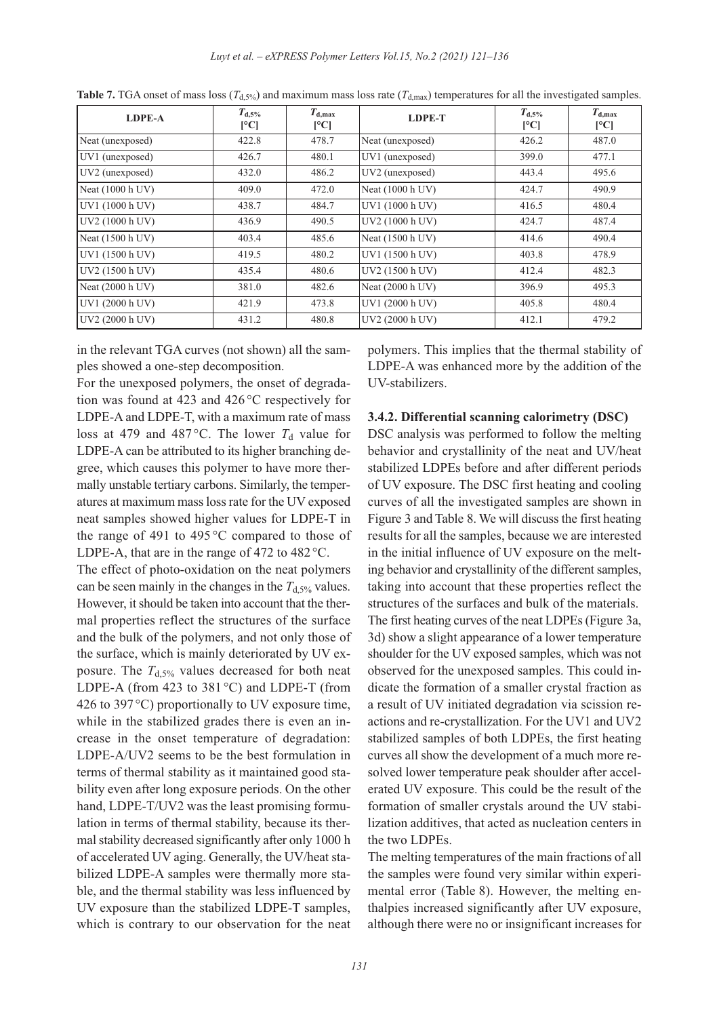| LDPE-A            | $T_{\rm d,5\%}$<br>$\lceil$ <sup>o</sup> Cl | $T_{d,max}$<br>[°C] | <b>LDPE-T</b>    | $T_{d,5\%}$<br>[°C] | $T_{d,max}$<br>$\lceil$ <sup>o</sup> C $\lceil$ |
|-------------------|---------------------------------------------|---------------------|------------------|---------------------|-------------------------------------------------|
| Neat (unexposed)  | 422.8                                       | 478.7               | Neat (unexposed) | 426.2               | 487.0                                           |
| UV1 (unexposed)   | 426.7                                       | 480.1               | UV1 (unexposed)  | 399.0               | 477.1                                           |
| $UV2$ (unexposed) | 432.0                                       | 486.2               | UV2 (unexposed)  | 443.4               | 495.6                                           |
| Neat (1000 h UV)  | 409.0                                       | 472.0               | Neat (1000 h UV) | 424.7               | 490.9                                           |
| UV1 (1000 h UV)   | 438.7                                       | 484.7               | UV1 (1000 h UV)  | 416.5               | 480.4                                           |
| UV2 (1000 h UV)   | 436.9                                       | 490.5               | UV2 (1000 h UV)  | 424.7               | 487.4                                           |
| Neat (1500 h UV)  | 403.4                                       | 485.6               | Neat (1500 h UV) | 414.6               | 490.4                                           |
| UV1 (1500 h UV)   | 419.5                                       | 480.2               | UV1 (1500 h UV)  | 403.8               | 478.9                                           |
| UV2 (1500 h UV)   | 435.4                                       | 480.6               | UV2 (1500 h UV)  | 412.4               | 482.3                                           |
| Neat (2000 h UV)  | 381.0                                       | 482.6               | Neat (2000 h UV) | 396.9               | 495.3                                           |
| UV1 (2000 h UV)   | 421.9                                       | 473.8               | UV1 (2000 h UV)  | 405.8               | 480.4                                           |
| UV2 (2000 h UV)   | 431.2                                       | 480.8               | UV2 (2000 h UV)  | 412.1               | 479.2                                           |

**Table 7.** TGA onset of mass loss ( $T_{d,5\%}$ ) and maximum mass loss rate ( $T_{d,\text{max}}$ ) temperatures for all the investigated samples.

in the relevant TGA curves (not shown) all the samples showed a one-step decomposition.

For the unexposed polymers, the onset of degradation was found at 423 and 426 °C respectively for LDPE-A and LDPE-T, with a maximum rate of mass loss at 479 and 487 °C. The lower  $T_d$  value for LDPE-A can be attributed to its higher branching degree, which causes this polymer to have more thermally unstable tertiary carbons. Similarly, the temperatures at maximum mass loss rate for the UV exposed neat samples showed higher values for LDPE-T in the range of 491 to 495 $\degree$ C compared to those of LDPE-A, that are in the range of 472 to 482 °C.

The effect of photo-oxidation on the neat polymers can be seen mainly in the changes in the  $T_{d,5\%}$  values. However, it should be taken into account that the thermal properties reflect the structures of the surface and the bulk of the polymers, and not only those of the surface, which is mainly deteriorated by UV exposure. The  $T_{d,5\%}$  values decreased for both neat LDPE-A (from 423 to 381 °C) and LDPE-T (from 426 to 397 $\degree$ C) proportionally to UV exposure time, while in the stabilized grades there is even an increase in the onset temperature of degradation: LDPE-A/UV2 seems to be the best formulation in terms of thermal stability as it maintained good stability even after long exposure periods. On the other hand, LDPE-T/UV2 was the least promising formulation in terms of thermal stability, because its thermal stability decreased significantly after only 1000 h of accelerated UV aging. Generally, the UV/heat stabilized LDPE-A samples were thermally more stable, and the thermal stability was less influenced by UV exposure than the stabilized LDPE-T samples, which is contrary to our observation for the neat polymers. This implies that the thermal stability of LDPE-A was enhanced more by the addition of the UV-stabilizers.

#### **3.4.2. Differential scanning calorimetry (DSC)**

DSC analysis was performed to follow the melting behavior and crystallinity of the neat and UV/heat stabilized LDPEs before and after different periods of UV exposure. The DSC first heating and cooling curves of all the investigated samples are shown in Figure 3 and Table 8. We will discuss the first heating results for all the samples, because we are interested in the initial influence of UV exposure on the melting behavior and crystallinity of the different samples, taking into account that these properties reflect the structures of the surfaces and bulk of the materials. The first heating curves of the neat LDPEs (Figure 3a, 3d) show a slight appearance of a lower temperature shoulder for the UV exposed samples, which was not observed for the unexposed samples. This could indicate the formation of a smaller crystal fraction as a result of UV initiated degradation via scission reactions and re-crystallization. For the UV1 and UV2 stabilized samples of both LDPEs, the first heating curves all show the development of a much more resolved lower temperature peak shoulder after accelerated UV exposure. This could be the result of the formation of smaller crystals around the UV stabilization additives, that acted as nucleation centers in the two LDPEs.

The melting temperatures of the main fractions of all the samples were found very similar within experimental error (Table 8). However, the melting enthalpies increased significantly after UV exposure, although there were no or insignificant increases for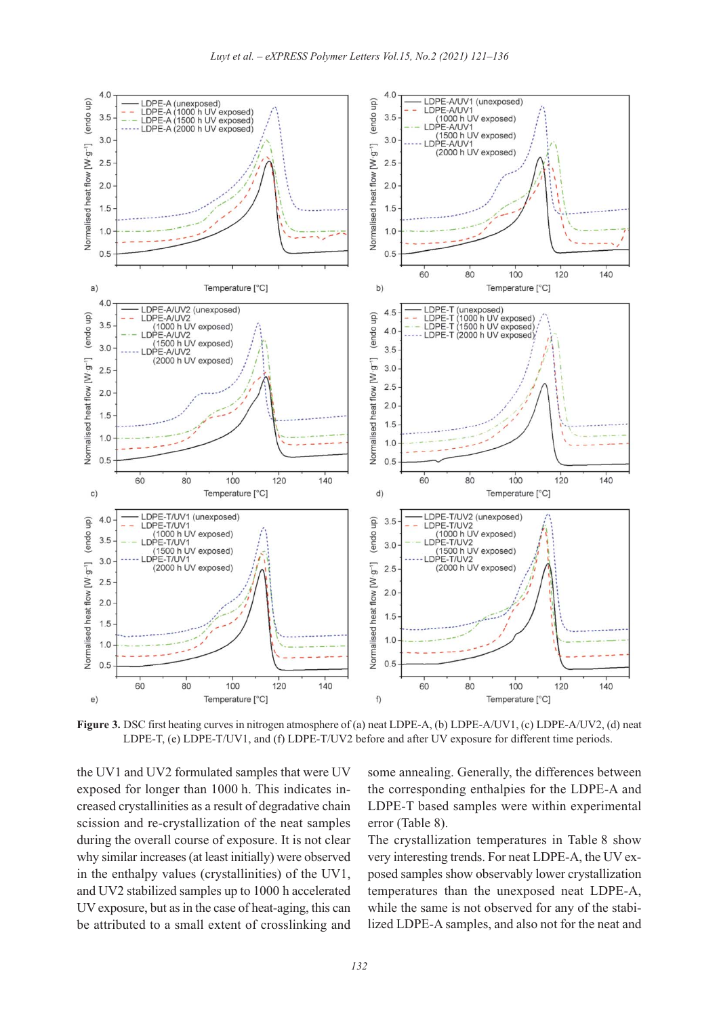

**Figure 3.** DSC first heating curves in nitrogen atmosphere of (a) neat LDPE-A, (b) LDPE-A/UV1, (c) LDPE-A/UV2, (d) neat LDPE-T, (e) LDPE-T/UV1, and (f) LDPE-T/UV2 before and after UV exposure for different time periods.

the UV1 and UV2 formulated samples that were UV exposed for longer than 1000 h. This indicates increased crystallinities as a result of degradative chain scission and re-crystallization of the neat samples during the overall course of exposure. It is not clear why similar increases (at least initially) were observed in the enthalpy values (crystallinities) of the UV1, and UV2 stabilized samples up to 1000 h accelerated UV exposure, but as in the case of heat-aging, this can be attributed to a small extent of crosslinking and some annealing. Generally, the differences between the corresponding enthalpies for the LDPE-A and LDPE-T based samples were within experimental error (Table 8).

The crystallization temperatures in Table 8 show very interesting trends. For neat LDPE-A, the UV exposed samples show observably lower crystallization temperatures than the unexposed neat LDPE-A, while the same is not observed for any of the stabilized LDPE-A samples, and also not for the neat and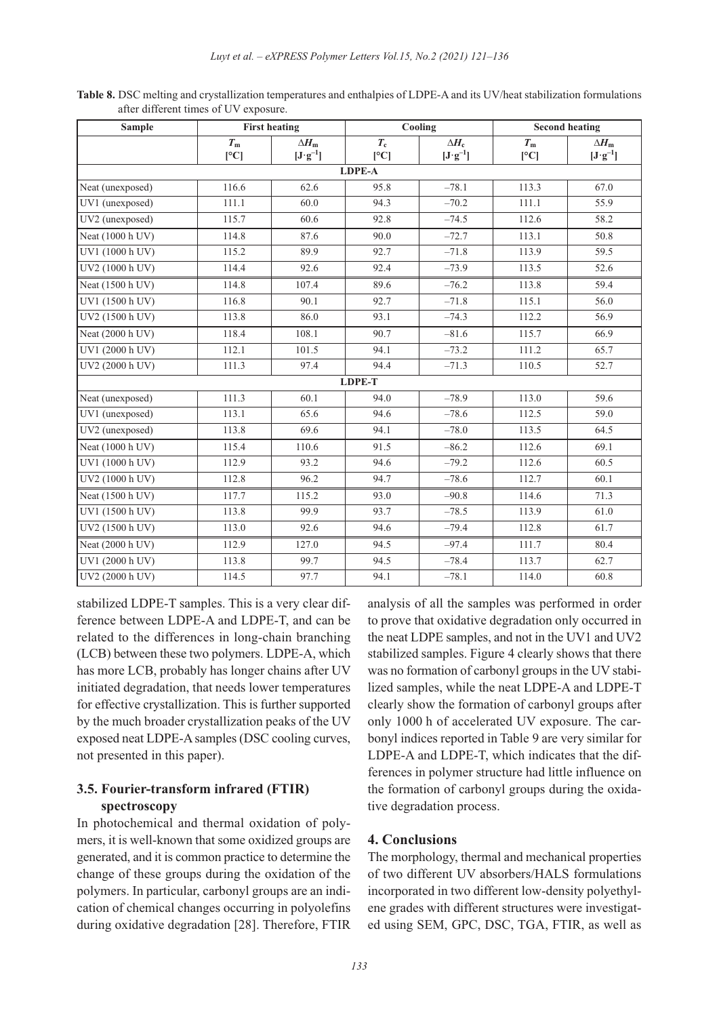| <b>Sample</b>    |             | <b>First heating</b> |               | Cooling                                |             | <b>Second heating</b>                    |
|------------------|-------------|----------------------|---------------|----------------------------------------|-------------|------------------------------------------|
|                  | $T_{\rm m}$ | $\Delta H_{\rm m}$   | $T_{\rm c}$   | $\Delta H_c$                           | $T_{\rm m}$ | $\Delta H_{\rm m}$                       |
|                  | [°C]        | $[J \cdot g^{-1}]$   | [°C]          | $[\mathbf{J}\!\cdot\!\mathbf{g}^{-1}]$ | [°C]        | $[\mathbf{J}\!\cdot\!\mathbf{g}^{-\!1}]$ |
|                  |             |                      | <b>LDPE-A</b> |                                        |             |                                          |
| Neat (unexposed) | 116.6       | 62.6                 | 95.8          | $-78.1$                                | 113.3       | 67.0                                     |
| UV1 (unexposed)  | 111.1       | 60.0                 | 94.3          | $-70.2$                                | 111.1       | 55.9                                     |
| UV2 (unexposed)  | 115.7       | 60.6                 | 92.8          | $-74.5$                                | 112.6       | 58.2                                     |
| Neat (1000 h UV) | 114.8       | 87.6                 | 90.0          | $-72.7$                                | 113.1       | 50.8                                     |
| UV1 (1000 h UV)  | 115.2       | 89.9                 | 92.7          | $-71.8$                                | 113.9       | 59.5                                     |
| UV2 (1000 h UV)  | 114.4       | 92.6                 | 92.4          | $-73.9$                                | 113.5       | 52.6                                     |
| Neat (1500 h UV) | 114.8       | 107.4                | 89.6          | $-76.2$                                | 113.8       | 59.4                                     |
| UV1 (1500 h UV)  | 116.8       | 90.1                 | 92.7          | $-71.8$                                | 115.1       | 56.0                                     |
| UV2 (1500 h UV)  | 113.8       | 86.0                 | 93.1          | $-74.3$                                | 112.2       | 56.9                                     |
| Neat (2000 h UV) | 118.4       | 108.1                | 90.7          | $-81.6$                                | 115.7       | 66.9                                     |
| UV1 (2000 h UV)  | 112.1       | 101.5                | 94.1          | $-73.2$                                | 111.2       | 65.7                                     |
| UV2 (2000 h UV)  | 111.3       | 97.4                 | 94.4          | $-71.3$                                | 110.5       | 52.7                                     |
|                  |             |                      | <b>LDPE-T</b> |                                        |             |                                          |
| Neat (unexposed) | 111.3       | 60.1                 | 94.0          | $-78.9$                                | 113.0       | 59.6                                     |
| UV1 (unexposed)  | 113.1       | 65.6                 | 94.6          | $-78.6$                                | 112.5       | 59.0                                     |
| UV2 (unexposed)  | 113.8       | 69.6                 | 94.1          | $-78.0$                                | 113.5       | 64.5                                     |
| Neat (1000 h UV) | 115.4       | 110.6                | 91.5          | $-86.2$                                | 112.6       | 69.1                                     |
| UV1 (1000 h UV)  | 112.9       | 93.2                 | 94.6          | $-79.2$                                | 112.6       | 60.5                                     |
| UV2 (1000 h UV)  | 112.8       | 96.2                 | 94.7          | $-78.6$                                | 112.7       | 60.1                                     |
| Neat (1500 h UV) | 117.7       | 115.2                | 93.0          | $-90.8$                                | 114.6       | 71.3                                     |
| UV1 (1500 h UV)  | 113.8       | 99.9                 | 93.7          | $-78.5$                                | 113.9       | 61.0                                     |
| UV2 (1500 h UV)  | 113.0       | 92.6                 | 94.6          | $-79.4$                                | 112.8       | 61.7                                     |
| Neat (2000 h UV) | 112.9       | 127.0                | 94.5          | $-97.4$                                | 111.7       | 80.4                                     |
| UV1 (2000 h UV)  | 113.8       | 99.7                 | 94.5          | $-78.4$                                | 113.7       | 62.7                                     |
| UV2 (2000 h UV)  | 114.5       | 97.7                 | 94.1          | $-78.1$                                | 114.0       | 60.8                                     |

**Table 8.** DSC melting and crystallization temperatures and enthalpies of LDPE-A and its UV/heat stabilization formulations after different times of UV exposure.

stabilized LDPE-T samples. This is a very clear difference between LDPE-A and LDPE-T, and can be related to the differences in long-chain branching (LCB) between these two polymers. LDPE-A, which has more LCB, probably has longer chains after UV initiated degradation, that needs lower temperatures for effective crystallization. This is further supported by the much broader crystallization peaks of the UV exposed neat LDPE-A samples (DSC cooling curves, not presented in this paper).

# **3.5. Fourier-transform infrared (FTIR) spectroscopy**

In photochemical and thermal oxidation of polymers, it is well-known that some oxidized groups are generated, and it is common practice to determine the change of these groups during the oxidation of the polymers. In particular, carbonyl groups are an indication of chemical changes occurring in polyolefins during oxidative degradation [28]. Therefore, FTIR analysis of all the samples was performed in order to prove that oxidative degradation only occurred in the neat LDPE samples, and not in the UV1 and UV2 stabilized samples. Figure 4 clearly shows that there was no formation of carbonyl groups in the UV stabilized samples, while the neat LDPE-A and LDPE-T clearly show the formation of carbonyl groups after only 1000 h of accelerated UV exposure. The carbonyl indices reported in Table 9 are very similar for LDPE-A and LDPE-T, which indicates that the differences in polymer structure had little influence on the formation of carbonyl groups during the oxidative degradation process.

## **4. Conclusions**

The morphology, thermal and mechanical properties of two different UV absorbers/HALS formulations incorporated in two different low-density polyethylene grades with different structures were investigated using SEM, GPC, DSC, TGA, FTIR, as well as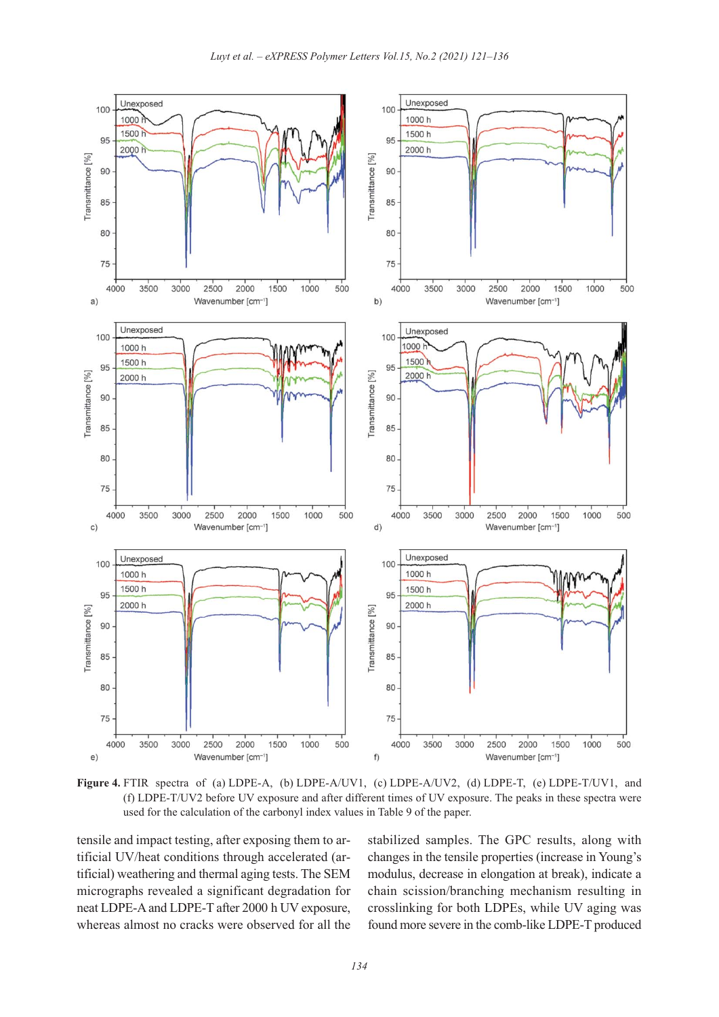

**Figure 4.** FTIR spectra of (a) LDPE-A, (b) LDPE-A/UV1, (c) LDPE-A/UV2, (d) LDPE-T, (e) LDPE-T/UV1, and (f) LDPE-T/UV2 before UV exposure and after different times of UV exposure. The peaks in these spectra were used for the calculation of the carbonyl index values in Table 9 of the paper.

tensile and impact testing, after exposing them to artificial UV/heat conditions through accelerated (artificial) weathering and thermal aging tests. The SEM micrographs revealed a significant degradation for neat LDPE-A and LDPE-T after 2000 h UV exposure, whereas almost no cracks were observed for all the stabilized samples. The GPC results, along with changes in the tensile properties (increase in Young's modulus, decrease in elongation at break), indicate a chain scission/branching mechanism resulting in crosslinking for both LDPEs, while UV aging was found more severe in the comb-like LDPE-T produced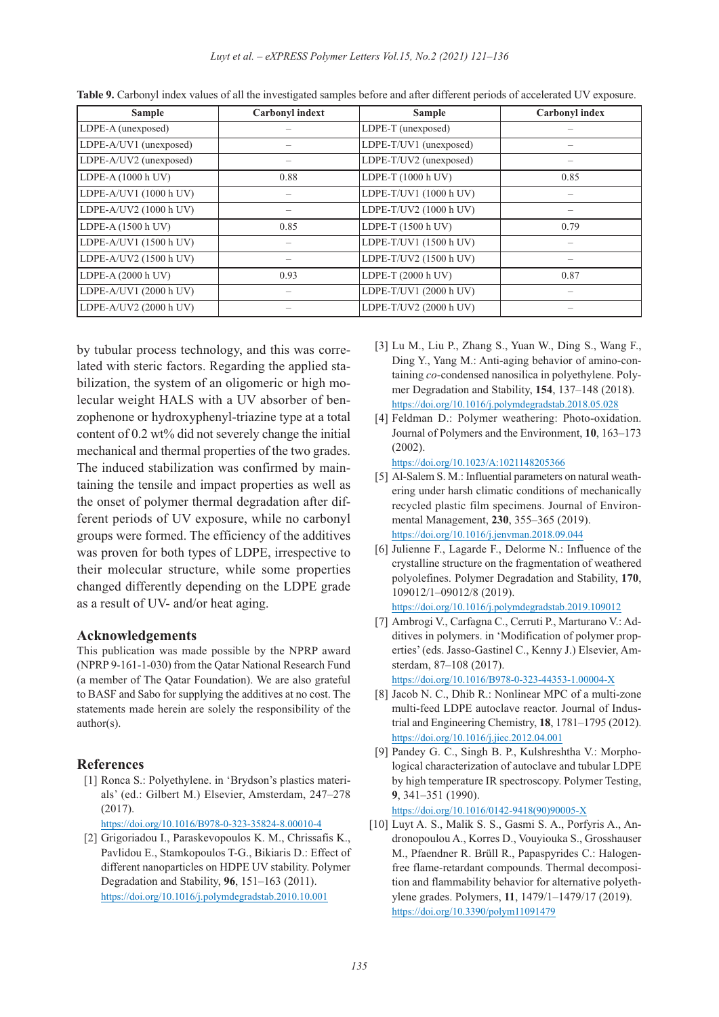*Luyt et al. – eXPRESS Polymer Letters Vol.15, No.2 (2021) 121–136*

| <b>Sample</b>          | <b>Carbonyl</b> indext | <b>Sample</b>          | <b>Carbonyl</b> index |
|------------------------|------------------------|------------------------|-----------------------|
| LDPE-A (unexposed)     |                        | LDPE-T (unexposed)     |                       |
| LDPE-A/UV1 (unexposed) |                        | LDPE-T/UV1 (unexposed) |                       |
| LDPE-A/UV2 (unexposed) |                        | LDPE-T/UV2 (unexposed) |                       |
| LDPE-A (1000 h UV)     | 0.88                   | LDPE-T (1000 h UV)     | 0.85                  |
| LDPE-A/UV1 (1000 h UV) |                        | LDPE-T/UV1 (1000 h UV) |                       |
| LDPE-A/UV2 (1000 h UV) |                        | LDPE-T/UV2 (1000 h UV) |                       |
| LDPE-A (1500 h UV)     | 0.85                   | LDPE-T (1500 h UV)     | 0.79                  |
| LDPE-A/UV1 (1500 h UV) |                        | LDPE-T/UV1 (1500 h UV) |                       |
| LDPE-A/UV2 (1500 h UV) |                        | LDPE-T/UV2 (1500 h UV) |                       |
| LDPE-A (2000 h UV)     | 0.93                   | LDPE-T (2000 h UV)     | 0.87                  |
| LDPE-A/UV1 (2000 h UV) |                        | LDPE-T/UV1 (2000 h UV) |                       |
| LDPE-A/UV2 (2000 h UV) |                        | LDPE-T/UV2 (2000 h UV) |                       |

| Table 9. Carbonyl index values of all the investigated samples before and after different periods of accelerated UV exposure. |
|-------------------------------------------------------------------------------------------------------------------------------|
|-------------------------------------------------------------------------------------------------------------------------------|

by tubular process technology, and this was correlated with steric factors. Regarding the applied stabilization, the system of an oligomeric or high molecular weight HALS with a UV absorber of benzophenone or hydroxyphenyl-triazine type at a total content of 0.2 wt% did not severely change the initial mechanical and thermal properties of the two grades. The induced stabilization was confirmed by maintaining the tensile and impact properties as well as the onset of polymer thermal degradation after different periods of UV exposure, while no carbonyl groups were formed. The efficiency of the additives was proven for both types of LDPE, irrespective to their molecular structure, while some properties changed differently depending on the LDPE grade as a result of UV- and/or heat aging.

#### **Acknowledgements**

This publication was made possible by the NPRP award (NPRP 9-161-1-030) from the Qatar National Research Fund (a member of The Qatar Foundation). We are also grateful to BASF and Sabo for supplying the additives at no cost. The statements made herein are solely the responsibility of the author(s).

#### **References**

- [1] Ronca S.: Polyethylene. in 'Brydson's plastics materials' (ed.: Gilbert M.) Elsevier, Amsterdam, 247–278 (2017).
	- https://doi.org/10.1016/B978-0-323-35824-8.00010-4
- [2] Grigoriadou I., Paraskevopoulos K. M., Chrissafis K., Pavlidou E., Stamkopoulos T-G., Bikiaris D.: Effect of different nanoparticles on HDPE UV stability. Polymer Degradation and Stability, **96**, 151–163 (2011). https://doi.org/10.1016/j.polymdegradstab.2010.10.001
- [3] Lu M., Liu P., Zhang S., Yuan W., Ding S., Wang F., Ding Y., Yang M.: Anti-aging behavior of amino-containing *co*-condensed nanosilica in polyethylene. Polymer Degradation and Stability, **154**, 137–148 (2018). https://doi.org/10.1016/j.polymdegradstab.2018.05.028
- [4] Feldman D.: Polymer weathering: Photo-oxidation. Journal of Polymers and the Environment, **10**, 163–173 (2002).
	- https://doi.org/10.1023/A:1021148205366
- [5] Al-Salem S. M.: Influential parameters on natural weathering under harsh climatic conditions of mechanically recycled plastic film specimens. Journal of Environmental Management, **230**, 355–365 (2019). https://doi.org/10.1016/j.jenvman.2018.09.044
- [6] Julienne F., Lagarde F., Delorme N.: Influence of the crystalline structure on the fragmentation of weathered polyolefines. Polymer Degradation and Stability, **170**, 109012/1–09012/8 (2019).

https://doi.org/10.1016/j.polymdegradstab.2019.109012

[7] Ambrogi V., Carfagna C., Cerruti P., Marturano V.: Additives in polymers. in 'Modification of polymer properties' (eds. Jasso-Gastinel C., Kenny J.) Elsevier, Amsterdam, 87–108 (2017). https://doi.org/10.1016/B978-0-323-44353-1.00004-X

[8] Jacob N. C., Dhib R.: Nonlinear MPC of a multi-zone multi-feed LDPE autoclave reactor. Journal of Industrial and Engineering Chemistry, **18**, 1781–1795 (2012).

https://doi.org/10.1016/j.jiec.2012.04.001 [9] Pandey G. C., Singh B. P., Kulshreshtha V.: Morphological characterization of autoclave and tubular LDPE by high temperature IR spectroscopy. Polymer Testing, **9**, 341–351 (1990).

[https://doi.org/10.1016/0142-9418\(90\)90005-X](https://doi.org/10.1016/0142-9418(90)90005-X)

[10] Luyt A. S., Malik S. S., Gasmi S. A., Porfyris A., Andronopoulou A., Korres D., Vouyiouka S., Grosshauser M., Pfaendner R. Brüll R., Papaspyrides C.: Halogenfree flame-retardant compounds. Thermal decomposition and flammability behavior for alternative polyethylene grades. Polymers, **11**, 1479/1–1479/17 (2019). https://doi.org/10.3390/polym11091479